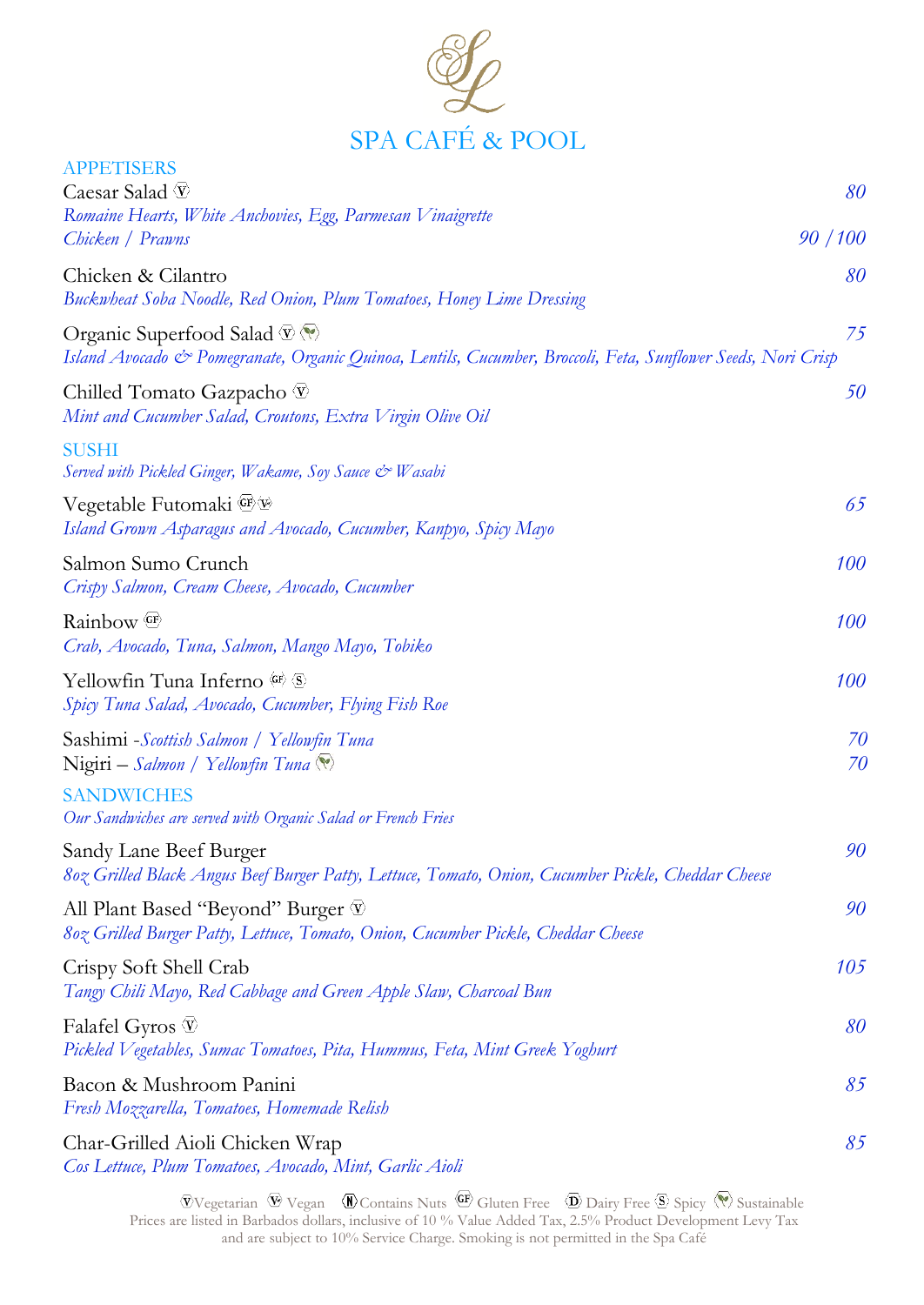

| <b>APPETISERS</b><br>Caesar Salad $\overline{\mathfrak{V}}$                                                                                                                                             | 80       |
|---------------------------------------------------------------------------------------------------------------------------------------------------------------------------------------------------------|----------|
| Romaine Hearts, White Anchovies, Egg, Parmesan Vinaigrette                                                                                                                                              |          |
| Chicken / Prawns                                                                                                                                                                                        | 90/100   |
| Chicken & Cilantro<br>Buckwheat Soba Noodle, Red Onion, Plum Tomatoes, Honey Lime Dressing                                                                                                              | 80       |
| Organic Superfood Salad $\overline{\mathcal{D}} \langle \overline{\mathcal{N}} \rangle$<br>Island Avocado & Pomegranate, Organic Quinoa, Lentils, Cucumber, Broccoli, Feta, Sunflower Seeds, Nori Crisp | 75       |
| Chilled Tomato Gazpacho V<br>Mint and Cucumber Salad, Croutons, Extra Virgin Olive Oil                                                                                                                  | 50       |
| <b>SUSHI</b><br>Served with Pickled Ginger, Wakame, Soy Sauce & Wasabi                                                                                                                                  |          |
| Vegetable Futomaki E<br>Island Grown Asparagus and Avocado, Cucumber, Kanpyo, Spicy Mayo                                                                                                                | 65       |
| Salmon Sumo Crunch<br>Crispy Salmon, Cream Cheese, Avocado, Cucumber                                                                                                                                    | 100      |
| Rainbow $\circledcirc$<br>Crab, Avocado, Tuna, Salmon, Mango Mayo, Tobiko                                                                                                                               | 100      |
| Yellowfin Tuna Inferno (GF) S<br>Spicy Tuna Salad, Avocado, Cucumber, Flying Fish Roe                                                                                                                   | 100      |
| Sashimi -Scottish Salmon / Yellowfin Tuna<br>Nigiri – Salmon / Yellowfin Tuna                                                                                                                           | 70<br>70 |
| <b>SANDWICHES</b><br>Our Sandwiches are served with Organic Salad or French Fries                                                                                                                       |          |
| Sandy Lane Beef Burger<br>807 Grilled Black Angus Beef Burger Patty, Lettuce, Tomato, Onion, Cucumber Pickle, Cheddar Cheese                                                                            | 90       |
| All Plant Based "Beyond" Burger V<br>807 Grilled Burger Patty, Lettuce, Tomato, Onion, Cucumber Pickle, Cheddar Cheese                                                                                  | 90       |
| Crispy Soft Shell Crab<br>Tangy Chili Mayo, Red Cabbage and Green Apple Slaw, Charcoal Bun                                                                                                              | 105      |
| Falafel Gyros $\Psi$<br>Pickled Vegetables, Sumac Tomatoes, Pita, Hummus, Feta, Mint Greek Yoghurt                                                                                                      | 80       |
| Bacon & Mushroom Panini<br>Fresh Mozzarella, Tomatoes, Homemade Relish                                                                                                                                  | 85       |
| Char-Grilled Aioli Chicken Wrap<br>Cos Lettuce, Plum Tomatoes, Avocado, Mint, Garlic Aioli                                                                                                              | 85       |

Vegetarian  $\Psi$  Vegan  $\Psi$  Contains Nuts  $\Psi$  Gluten Free  $\Phi$  Dairy Free  $\Phi$  Spicy  $\mathbb{V}$  Sustainable Prices are listed in Barbados dollars, inclusive of 10 % Value Added Tax, 2.5% Product Development Levy Tax and are subject to 10% Service Charge. Smoking is not permitted in the Spa Café